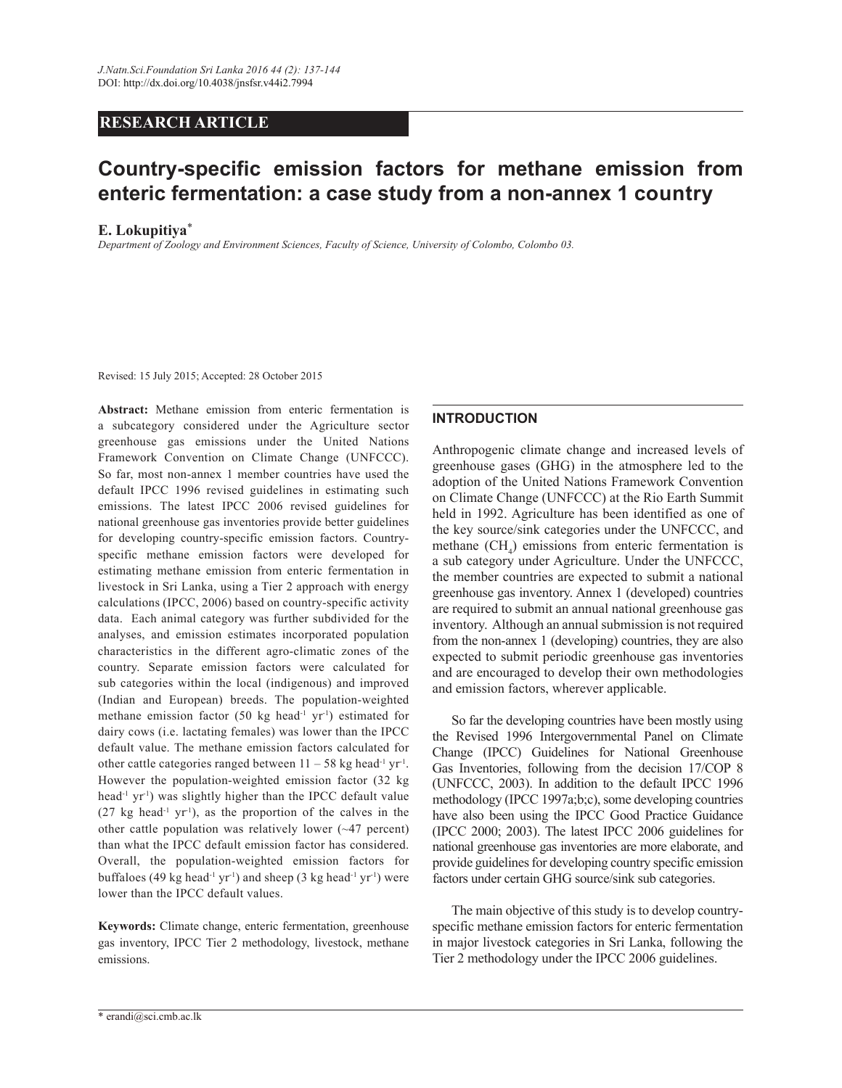# **RESEARCH ARTICLE**

# **Country-specific emission factors for methane emission from enteric fermentation: a case study from a non-annex 1 country**

#### **E. Lokupitiya**\*

*Department of Zoology and Environment Sciences, Faculty of Science, University of Colombo, Colombo 03.* 

Revised: 15 July 2015; Accepted: 28 October 2015

**Abstract:** Methane emission from enteric fermentation is a subcategory considered under the Agriculture sector greenhouse gas emissions under the United Nations Framework Convention on Climate Change (UNFCCC). So far, most non-annex 1 member countries have used the default IPCC 1996 revised guidelines in estimating such emissions. The latest IPCC 2006 revised guidelines for national greenhouse gas inventories provide better guidelines for developing country-specific emission factors. Countryspecific methane emission factors were developed for estimating methane emission from enteric fermentation in livestock in Sri Lanka, using a Tier 2 approach with energy calculations (IPCC, 2006) based on country-specific activity data. Each animal category was further subdivided for the analyses, and emission estimates incorporated population characteristics in the different agro-climatic zones of the country. Separate emission factors were calculated for sub categories within the local (indigenous) and improved (Indian and European) breeds. The population-weighted methane emission factor (50 kg head<sup>-1</sup> yr<sup>-1</sup>) estimated for dairy cows (i.e. lactating females) was lower than the IPCC default value. The methane emission factors calculated for other cattle categories ranged between  $11 - 58$  kg head<sup>-1</sup> yr<sup>-1</sup>. However the population-weighted emission factor (32 kg head<sup>-1</sup> yr<sup>-1</sup>) was slightly higher than the IPCC default value  $(27 \text{ kg head}^{-1} \text{ yr}^{-1})$ , as the proportion of the calves in the other cattle population was relatively lower (~47 percent) than what the IPCC default emission factor has considered. Overall, the population-weighted emission factors for buffaloes (49 kg head<sup>-1</sup> yr<sup>-1</sup>) and sheep (3 kg head<sup>-1</sup> yr<sup>-1</sup>) were lower than the IPCC default values.

**Keywords:** Climate change, enteric fermentation, greenhouse gas inventory, IPCC Tier 2 methodology, livestock, methane emissions.

## **INTRODUCTION**

Anthropogenic climate change and increased levels of greenhouse gases (GHG) in the atmosphere led to the adoption of the United Nations Framework Convention on Climate Change (UNFCCC) at the Rio Earth Summit held in 1992. Agriculture has been identified as one of the key source/sink categories under the UNFCCC, and methane  $(CH_4)$  emissions from enteric fermentation is a sub category under Agriculture. Under the UNFCCC, the member countries are expected to submit a national greenhouse gas inventory. Annex 1 (developed) countries are required to submit an annual national greenhouse gas inventory. Although an annual submission is not required from the non-annex 1 (developing) countries, they are also expected to submit periodic greenhouse gas inventories and are encouraged to develop their own methodologies and emission factors, wherever applicable.

 So far the developing countries have been mostly using the Revised 1996 Intergovernmental Panel on Climate Change (IPCC) Guidelines for National Greenhouse Gas Inventories, following from the decision 17/COP 8 (UNFCCC, 2003). In addition to the default IPCC 1996 methodology (IPCC 1997a;b;c), some developing countries have also been using the IPCC Good Practice Guidance (IPCC 2000; 2003). The latest IPCC 2006 guidelines for national greenhouse gas inventories are more elaborate, and provide guidelines for developing country specific emission factors under certain GHG source/sink sub categories.

 The main objective of this study is to develop countryspecific methane emission factors for enteric fermentation in major livestock categories in Sri Lanka, following the Tier 2 methodology under the IPCC 2006 guidelines.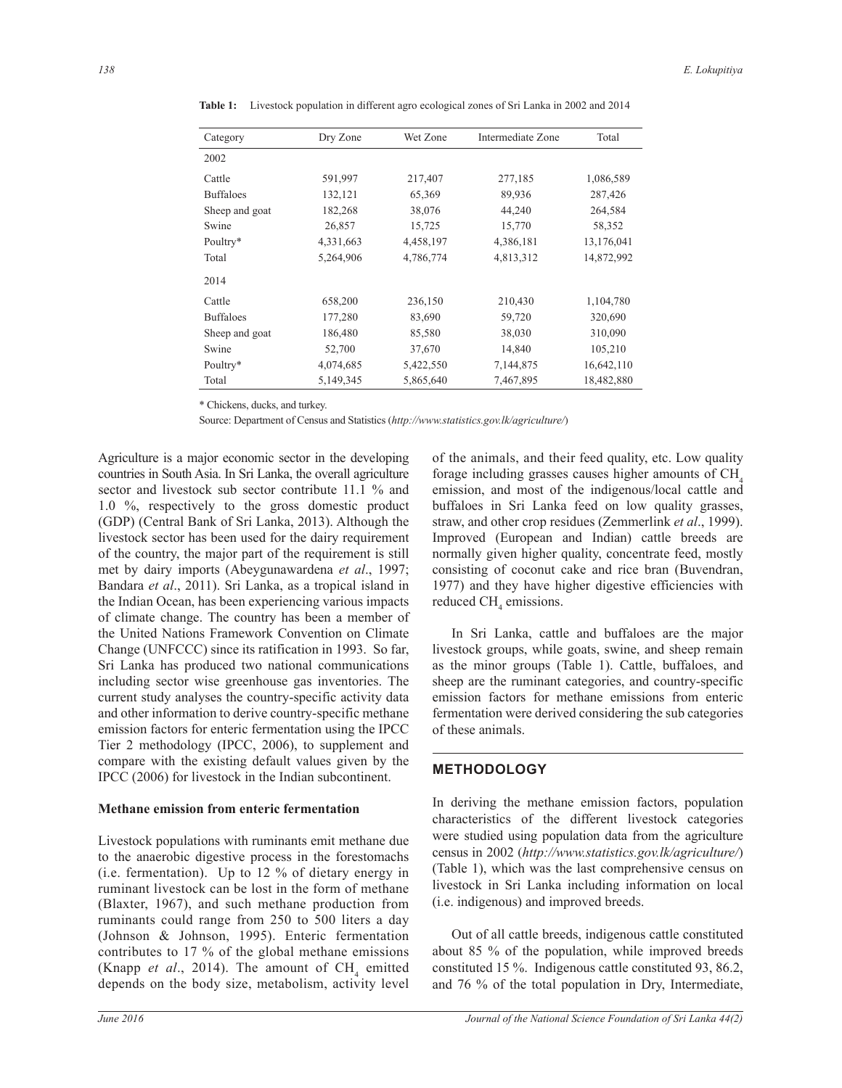| Category         | Dry Zone  | Wet Zone  | Intermediate Zone | Total      |  |
|------------------|-----------|-----------|-------------------|------------|--|
| 2002             |           |           |                   |            |  |
| Cattle           | 591,997   | 217,407   | 277,185           | 1,086,589  |  |
| <b>Buffaloes</b> | 132,121   | 65,369    | 89,936            | 287,426    |  |
| Sheep and goat   | 182,268   | 38,076    | 44,240            | 264,584    |  |
| Swine            | 26,857    | 15,725    | 15,770            | 58,352     |  |
| Poultry*         | 4,331,663 | 4,458,197 | 4,386,181         | 13,176,041 |  |
| Total            | 5,264,906 | 4,786,774 | 4,813,312         | 14,872,992 |  |
| 2014             |           |           |                   |            |  |
| Cattle           | 658,200   | 236,150   | 210,430           | 1,104,780  |  |
| <b>Buffaloes</b> | 177,280   | 83,690    | 59,720            | 320,690    |  |
| Sheep and goat   | 186,480   | 85,580    | 38,030            | 310,090    |  |
| Swine            | 52,700    | 37,670    | 14,840            | 105,210    |  |
| Poultry*         | 4,074,685 | 5,422,550 | 7,144,875         | 16,642,110 |  |
| Total            | 5,149,345 | 5,865,640 | 7,467,895         | 18,482,880 |  |

**Table 1:** Livestock population in different agro ecological zones of Sri Lanka in 2002 and 2014

\* Chickens, ducks, and turkey.

Source: Department of Census and Statistics (*http://www.statistics.gov.lk/agriculture/*)

Agriculture is a major economic sector in the developing countries in South Asia. In Sri Lanka, the overall agriculture sector and livestock sub sector contribute 11.1 % and 1.0 %, respectively to the gross domestic product (GDP) (Central Bank of Sri Lanka, 2013). Although the livestock sector has been used for the dairy requirement of the country, the major part of the requirement is still met by dairy imports (Abeygunawardena *et al*., 1997; Bandara *et al*., 2011). Sri Lanka, as a tropical island in the Indian Ocean, has been experiencing various impacts of climate change. The country has been a member of the United Nations Framework Convention on Climate Change (UNFCCC) since its ratification in 1993. So far, Sri Lanka has produced two national communications including sector wise greenhouse gas inventories. The current study analyses the country-specific activity data and other information to derive country-specific methane emission factors for enteric fermentation using the IPCC Tier 2 methodology (IPCC, 2006), to supplement and compare with the existing default values given by the IPCC (2006) for livestock in the Indian subcontinent.

### **Methane emission from enteric fermentation**

Livestock populations with ruminants emit methane due to the anaerobic digestive process in the forestomachs (i.e. fermentation). Up to 12 % of dietary energy in ruminant livestock can be lost in the form of methane (Blaxter, 1967), and such methane production from ruminants could range from 250 to 500 liters a day (Johnson & Johnson, 1995). Enteric fermentation contributes to 17 % of the global methane emissions (Knapp *et al.*, 2014). The amount of  $CH<sub>4</sub>$  emitted depends on the body size, metabolism, activity level

of the animals, and their feed quality, etc. Low quality forage including grasses causes higher amounts of  $CH<sub>4</sub>$ emission, and most of the indigenous/local cattle and buffaloes in Sri Lanka feed on low quality grasses, straw, and other crop residues (Zemmerlink *et al*., 1999). Improved (European and Indian) cattle breeds are normally given higher quality, concentrate feed, mostly consisting of coconut cake and rice bran (Buvendran, 1977) and they have higher digestive efficiencies with reduced  $CH<sub>4</sub>$  emissions.

 In Sri Lanka, cattle and buffaloes are the major livestock groups, while goats, swine, and sheep remain as the minor groups (Table 1). Cattle, buffaloes, and sheep are the ruminant categories, and country-specific emission factors for methane emissions from enteric fermentation were derived considering the sub categories of these animals.

## **METHODOLOGY**

In deriving the methane emission factors, population characteristics of the different livestock categories were studied using population data from the agriculture census in 2002 (*http://www.statistics.gov.lk/agriculture/*) (Table 1), which was the last comprehensive census on livestock in Sri Lanka including information on local (i.e. indigenous) and improved breeds.

 Out of all cattle breeds, indigenous cattle constituted about 85 % of the population, while improved breeds constituted 15 %. Indigenous cattle constituted 93, 86.2, and 76 % of the total population in Dry, Intermediate,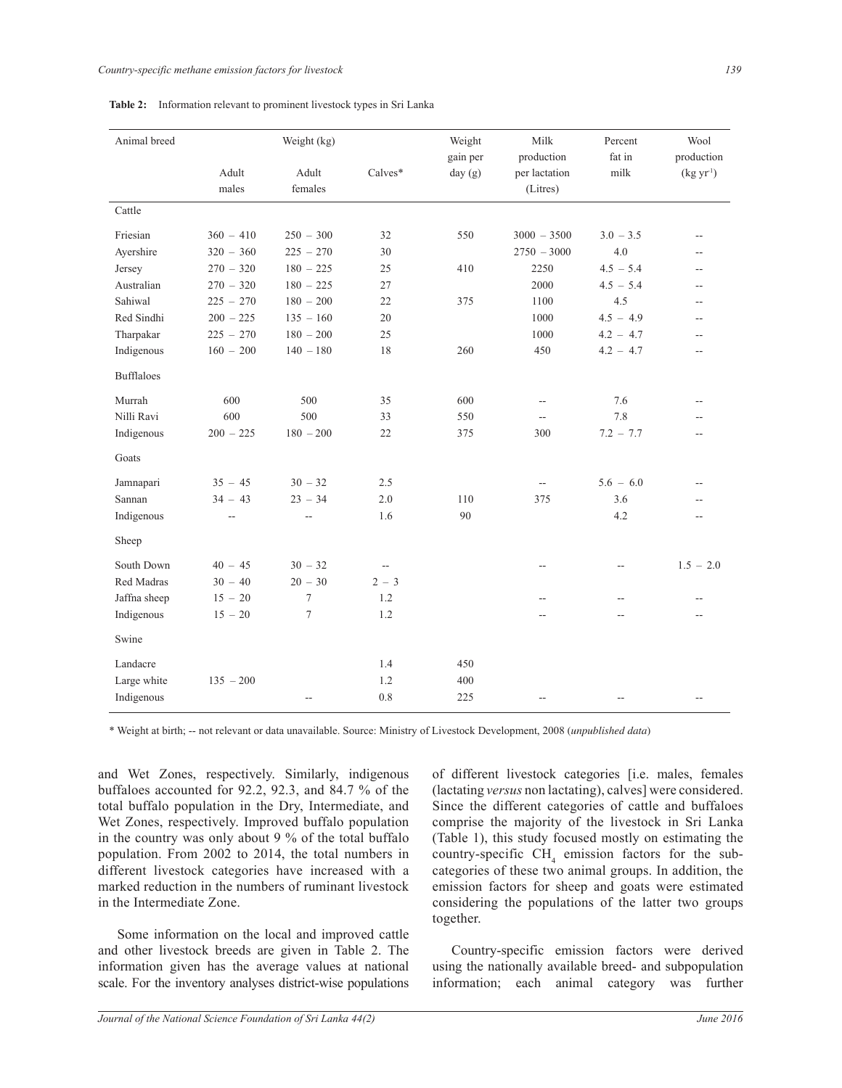| Animal breed      |                | Weight (kg)      |         | Weight<br>gain per | Milk<br>production        | Percent<br>fat in | Wool<br>production   |
|-------------------|----------------|------------------|---------|--------------------|---------------------------|-------------------|----------------------|
|                   | Adult<br>males | Adult<br>females | Calves* | day $(g)$          | per lactation<br>(Litres) | milk              | (kgyr <sup>1</sup> ) |
| Cattle            |                |                  |         |                    |                           |                   |                      |
| Friesian          | $360 - 410$    | $250 - 300$      | 32      | 550                | $3000 - 3500$             | $3.0 - 3.5$       | $\overline{a}$       |
| Ayershire         | $320 - 360$    | $225 - 270$      | 30      |                    | $2750 - 3000$             | 4.0               |                      |
| Jersey            | $270 - 320$    | $180 - 225$      | 25      | 410                | 2250                      | $4.5 - 5.4$       | $\overline{a}$       |
| Australian        | $270 - 320$    | $180 - 225$      | 27      |                    | 2000                      | $4.5 - 5.4$       | --                   |
| Sahiwal           | $225 - 270$    | $180 - 200$      | 22      | 375                | 1100                      | 4.5               | --                   |
| Red Sindhi        | $200 - 225$    | $135 - 160$      | 20      |                    | 1000                      | $4.5 - 4.9$       | --                   |
| Tharpakar         | $225 - 270$    | $180 - 200$      | 25      |                    | 1000                      | $4.2 - 4.7$       |                      |
| Indigenous        | $160 - 200$    | $140 - 180$      | 18      | 260                | 450                       | $4.2 - 4.7$       | --                   |
| <b>Bufflaloes</b> |                |                  |         |                    |                           |                   |                      |
| Murrah            | 600            | 500              | 35      | 600                | $\overline{a}$            | 7.6               |                      |
| Nilli Ravi        | 600            | 500              | 33      | 550                |                           | 7.8               |                      |
| Indigenous        | $200 - 225$    | $180 - 200$      | 22      | 375                | 300                       | $7.2 - 7.7$       | --                   |
| Goats             |                |                  |         |                    |                           |                   |                      |
| Jamnapari         | $35 - 45$      | $30 - 32$        | 2.5     |                    |                           | $5.6 - 6.0$       |                      |
| Sannan            | $34 - 43$      | $23 - 34$        | 2.0     | 110                | 375                       | 3.6               |                      |
| Indigenous        | $\overline{a}$ | $-$              | 1.6     | 90                 |                           | 4.2               | $\overline{a}$       |
| Sheep             |                |                  |         |                    |                           |                   |                      |
| South Down        | $40 - 45$      | $30 - 32$        | ۰.      |                    | --                        |                   | $1.5 - 2.0$          |
| Red Madras        | $30 - 40$      | $20 - 30$        | $2 - 3$ |                    |                           |                   |                      |
| Jaffna sheep      | $15 - 20$      | $\overline{7}$   | 1.2     |                    | --                        | --                |                      |
| Indigenous        | $15 - 20$      | 7                | 1.2     |                    |                           | $-$               |                      |
| Swine             |                |                  |         |                    |                           |                   |                      |
| Landacre          |                |                  | 1.4     | 450                |                           |                   |                      |
| Large white       | $135 - 200$    |                  | 1.2     | 400                |                           |                   |                      |
| Indigenous        |                |                  | 0.8     | 225                |                           |                   |                      |

**Table 2:** Information relevant to prominent livestock types in Sri Lanka

\* Weight at birth; -- not relevant or data unavailable. Source: Ministry of Livestock Development, 2008 (*unpublished data*)

and Wet Zones, respectively. Similarly, indigenous buffaloes accounted for 92.2, 92.3, and 84.7 % of the total buffalo population in the Dry, Intermediate, and Wet Zones, respectively. Improved buffalo population in the country was only about 9 % of the total buffalo population. From 2002 to 2014, the total numbers in different livestock categories have increased with a marked reduction in the numbers of ruminant livestock in the Intermediate Zone.

 Some information on the local and improved cattle and other livestock breeds are given in Table 2. The information given has the average values at national scale. For the inventory analyses district-wise populations

of different livestock categories [i.e. males, females (lactating *versus* non lactating), calves] were considered. Since the different categories of cattle and buffaloes comprise the majority of the livestock in Sri Lanka (Table 1), this study focused mostly on estimating the country-specific  $CH_4$  emission factors for the subcategories of these two animal groups. In addition, the emission factors for sheep and goats were estimated considering the populations of the latter two groups together.

 Country-specific emission factors were derived using the nationally available breed- and subpopulation information; each animal category was further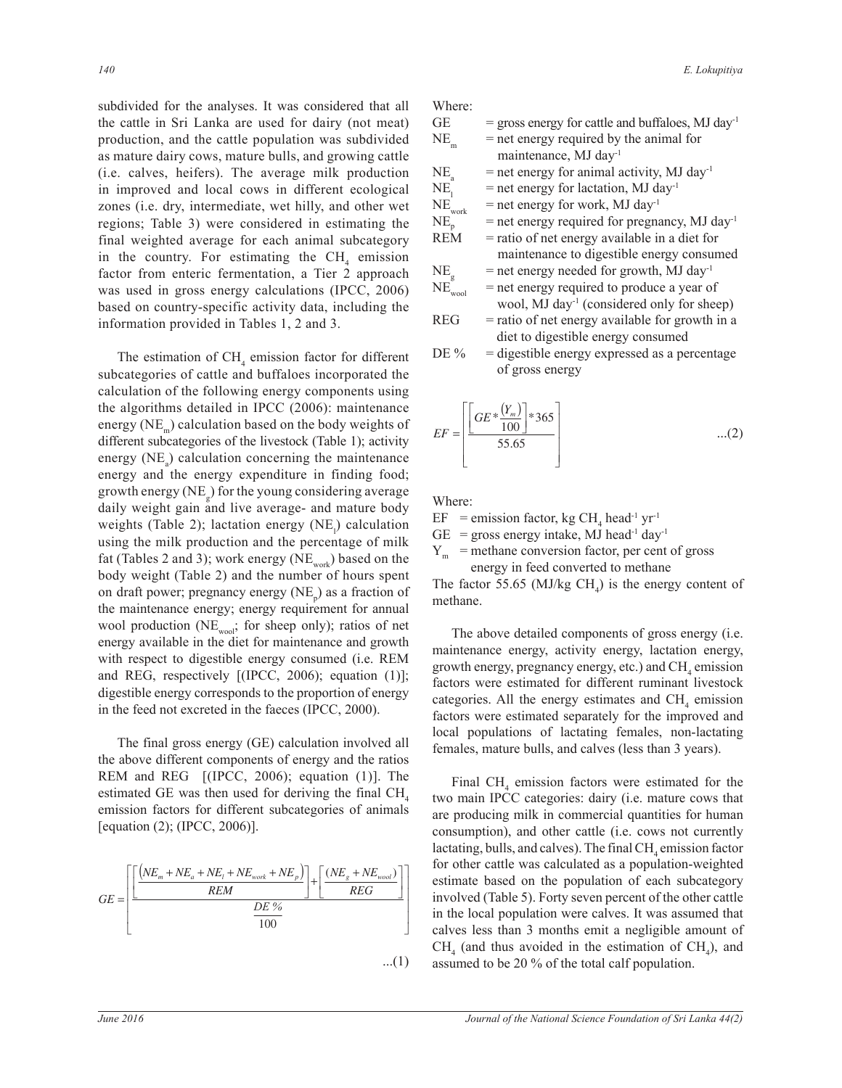subdivided for the analyses. It was considered that all the cattle in Sri Lanka are used for dairy (not meat) production, and the cattle population was subdivided as mature dairy cows, mature bulls, and growing cattle (i.e. calves, heifers). The average milk production in improved and local cows in different ecological zones (i.e. dry, intermediate, wet hilly, and other wet regions; Table 3) were considered in estimating the final weighted average for each animal subcategory in the country. For estimating the  $CH<sub>4</sub>$  emission factor from enteric fermentation, a Tier 2 approach was used in gross energy calculations (IPCC, 2006) based on country-specific activity data, including the information provided in Tables 1, 2 and 3.

The estimation of  $CH<sub>4</sub>$  emission factor for different subcategories of cattle and buffaloes incorporated the calculation of the following energy components using the algorithms detailed in IPCC (2006): maintenance energy ( $NE_{m}$ ) calculation based on the body weights of different subcategories of the livestock (Table 1); activity energy  $(NE_a)$  calculation concerning the maintenance energy and the energy expenditure in finding food; growth energy ( $NE_{g}$ ) for the young considering average daily weight gain and live average- and mature body weights (Table 2); lactation energy  $(NE_l)$  calculation using the milk production and the percentage of milk fat (Tables 2 and 3); work energy (NE<sub>work</sub>) based on the body weight (Table 2) and the number of hours spent on draft power; pregnancy energy  $(NE_p)$  as a fraction of the maintenance energy; energy requirement for annual wool production ( $NE_{\text{wool}}$ ; for sheep only); ratios of net energy available in the diet for maintenance and growth with respect to digestible energy consumed (i.e. REM and REG, respectively [(IPCC, 2006); equation (1)]; digestible energy corresponds to the proportion of energy in the feed not excreted in the faeces (IPCC, 2000).

 The final gross energy (GE) calculation involved all the above different components of energy and the ratios REM and REG [(IPCC, 2006); equation (1)]. The estimated GE was then used for deriving the final  $CH<sub>4</sub>$ emission factors for different subcategories of animals [equation (2); (IPCC, 2006)].

$$
GE = \left[ \frac{\left[ \frac{\left(NE_m + NE_a + NE_t + NE_{work} + NE_p\right)}{REM}\right] + \left[ \frac{\left(NE_s + NE_{wood}\right)}{REG} \right]}{ \frac{DE\%}{100}} \right]
$$
...(1)

Where:

| <b>GE</b>                     | $=$ gross energy for cattle and buffaloes, MJ day <sup>-1</sup> |
|-------------------------------|-----------------------------------------------------------------|
| NE<br>'n                      | $=$ net energy required by the animal for                       |
|                               | maintenance, MJ day <sup>1</sup>                                |
| NE.                           | $=$ net energy for animal activity, MJ day <sup>-1</sup>        |
| NE,                           | $=$ net energy for lactation, MJ day <sup>-1</sup>              |
| $\mathrm{NE}_{\mathrm{work}}$ | $=$ net energy for work, MJ day <sup>-1</sup>                   |
| $NE_{p}$                      | $=$ net energy required for pregnancy, MJ day <sup>-1</sup>     |
| <b>REM</b>                    | $=$ ratio of net energy available in a diet for                 |
|                               | maintenance to digestible energy consumed                       |
| NE.                           | $=$ net energy needed for growth, MJ day <sup>-1</sup>          |
| $NE$ <sub>wool</sub>          | = net energy required to produce a year of                      |
|                               | wool, MJ day <sup>1</sup> (considered only for sheep)           |
| <b>REG</b>                    | $=$ ratio of net energy available for growth in a               |
|                               | diet to digestible energy consumed                              |
| DE %                          | = digestible energy expressed as a percentage                   |
|                               | of gross energy                                                 |
|                               |                                                                 |

$$
EF = \left[ \frac{GE * \frac{(Y_m)}{100} \right] * 365}{55.65} \dots (2)
$$

Where:

 $EF$  = emission factor, kg CH<sub>4</sub> head<sup>-1</sup> yr<sup>-1</sup>

 $GE$  = gross energy intake, MJ head<sup>-1</sup> day<sup>-1</sup>

 $Y_m$  = methane conversion factor, per cent of gross energy in feed converted to methane

The factor 55.65 (MJ/kg  $CH<sub>4</sub>$ ) is the energy content of methane.

 The above detailed components of gross energy (i.e. maintenance energy, activity energy, lactation energy, growth energy, pregnancy energy, etc.) and  $CH<sub>4</sub>$  emission factors were estimated for different ruminant livestock categories. All the energy estimates and  $\text{CH}_4$  emission factors were estimated separately for the improved and local populations of lactating females, non-lactating females, mature bulls, and calves (less than 3 years).

Final  $CH<sub>4</sub>$  emission factors were estimated for the two main IPCC categories: dairy (i.e. mature cows that are producing milk in commercial quantities for human consumption), and other cattle (i.e. cows not currently lactating, bulls, and calves). The final  $\mathrm{CH}_4$  emission factor for other cattle was calculated as a population-weighted estimate based on the population of each subcategory involved (Table 5). Forty seven percent of the other cattle in the local population were calves. It was assumed that calves less than 3 months emit a negligible amount of  $CH<sub>4</sub>$  (and thus avoided in the estimation of  $CH<sub>4</sub>$ ), and assumed to be 20 % of the total calf population.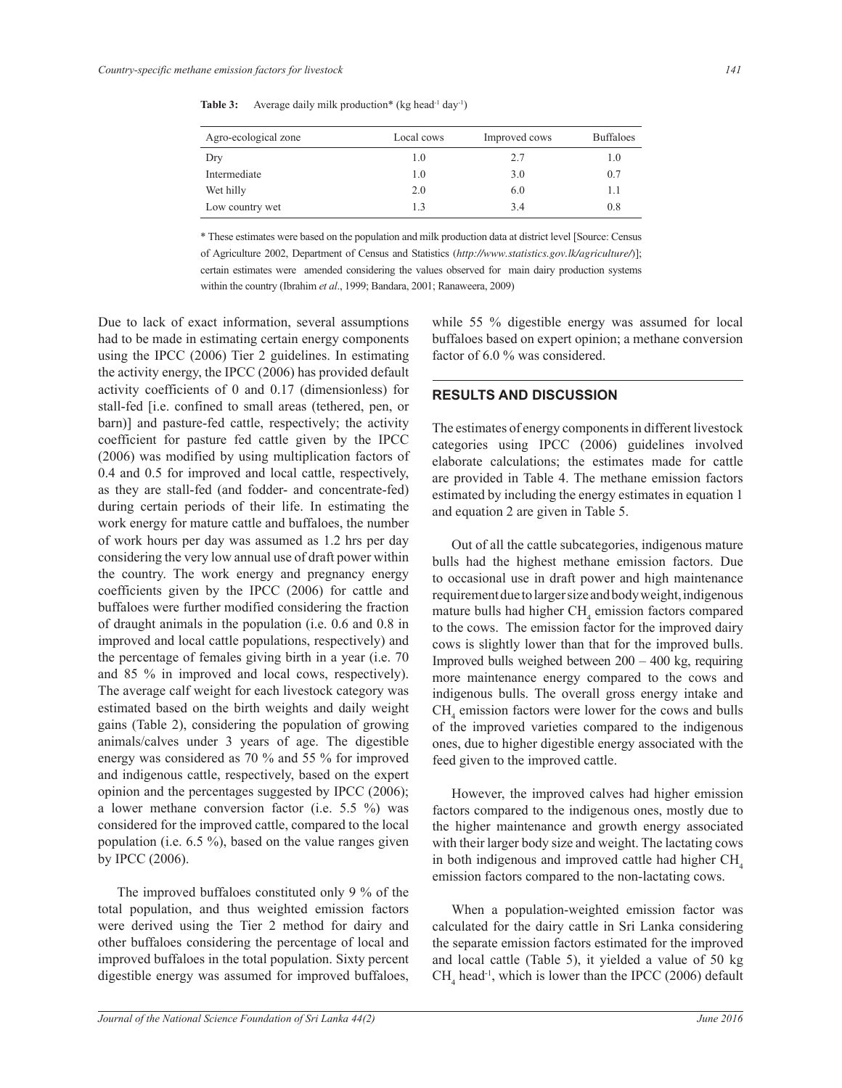| Agro-ecological zone | Local cows | Improved cows | <b>Buffaloes</b> |
|----------------------|------------|---------------|------------------|
| Dry                  | 1.0        | 2.7           | 1.0              |
| Intermediate         | 1.0        | 3.0           | 0.7              |
| Wet hilly            | 2.0        | 6.0           | 1.1              |
| Low country wet      | 13         | 3.4           | 0.8              |

Table 3: Average daily milk production\* (kg head<sup>-1</sup> day<sup>-1</sup>)

\* These estimates were based on the population and milk production data at district level [Source: Census of Agriculture 2002, Department of Census and Statistics (*http://www.statistics.gov.lk/agriculture/*)]; certain estimates were amended considering the values observed for main dairy production systems within the country (Ibrahim *et al*., 1999; Bandara, 2001; Ranaweera, 2009)

Due to lack of exact information, several assumptions had to be made in estimating certain energy components using the IPCC (2006) Tier 2 guidelines. In estimating the activity energy, the IPCC (2006) has provided default activity coefficients of 0 and 0.17 (dimensionless) for stall-fed [i.e. confined to small areas (tethered, pen, or barn)] and pasture-fed cattle, respectively; the activity coefficient for pasture fed cattle given by the IPCC (2006) was modified by using multiplication factors of 0.4 and 0.5 for improved and local cattle, respectively, as they are stall-fed (and fodder- and concentrate-fed) during certain periods of their life. In estimating the work energy for mature cattle and buffaloes, the number of work hours per day was assumed as 1.2 hrs per day considering the very low annual use of draft power within the country. The work energy and pregnancy energy coefficients given by the IPCC (2006) for cattle and buffaloes were further modified considering the fraction of draught animals in the population (i.e. 0.6 and 0.8 in improved and local cattle populations, respectively) and the percentage of females giving birth in a year (i.e. 70 and 85 % in improved and local cows, respectively). The average calf weight for each livestock category was estimated based on the birth weights and daily weight gains (Table 2), considering the population of growing animals/calves under 3 years of age. The digestible energy was considered as 70 % and 55 % for improved and indigenous cattle, respectively, based on the expert opinion and the percentages suggested by IPCC (2006); a lower methane conversion factor (i.e. 5.5 %) was considered for the improved cattle, compared to the local population (i.e. 6.5 %), based on the value ranges given by IPCC (2006).

 The improved buffaloes constituted only 9 % of the total population, and thus weighted emission factors were derived using the Tier 2 method for dairy and other buffaloes considering the percentage of local and improved buffaloes in the total population. Sixty percent digestible energy was assumed for improved buffaloes, while 55 % digestible energy was assumed for local buffaloes based on expert opinion; a methane conversion factor of 6.0 % was considered.

## **RESULTS AND DISCUSSION**

The estimates of energy components in different livestock categories using IPCC (2006) guidelines involved elaborate calculations; the estimates made for cattle are provided in Table 4. The methane emission factors estimated by including the energy estimates in equation 1 and equation 2 are given in Table 5.

 Out of all the cattle subcategories, indigenous mature bulls had the highest methane emission factors. Due to occasional use in draft power and high maintenance requirement due to larger size and body weight, indigenous mature bulls had higher  $\text{CH}_4$  emission factors compared to the cows. The emission factor for the improved dairy cows is slightly lower than that for the improved bulls. Improved bulls weighed between 200 – 400 kg, requiring more maintenance energy compared to the cows and indigenous bulls. The overall gross energy intake and  $CH<sub>4</sub>$  emission factors were lower for the cows and bulls of the improved varieties compared to the indigenous ones, due to higher digestible energy associated with the feed given to the improved cattle.

 However, the improved calves had higher emission factors compared to the indigenous ones, mostly due to the higher maintenance and growth energy associated with their larger body size and weight. The lactating cows in both indigenous and improved cattle had higher  $CH<sub>4</sub>$ emission factors compared to the non-lactating cows.

 When a population-weighted emission factor was calculated for the dairy cattle in Sri Lanka considering the separate emission factors estimated for the improved and local cattle (Table 5), it yielded a value of 50 kg  $CH<sub>4</sub>$  head<sup>-1</sup>, which is lower than the IPCC (2006) default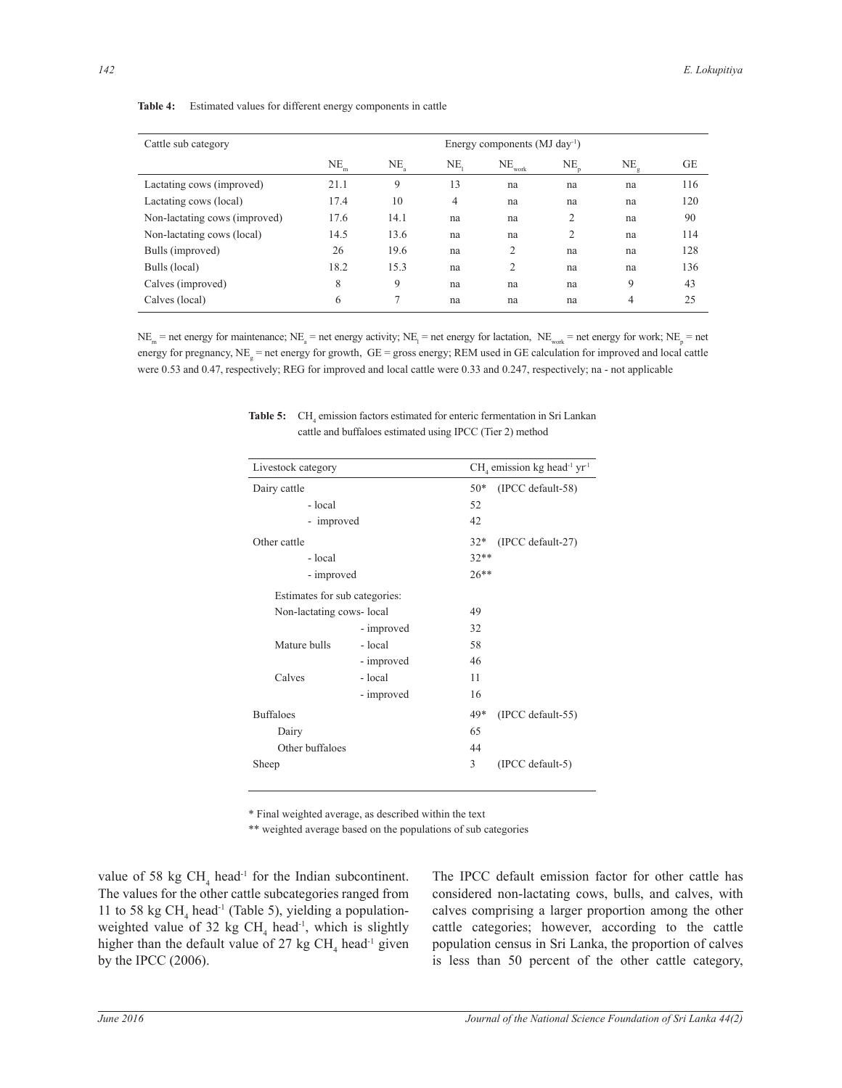| Cattle sub category           | Energy components $(MJ \, day^{-1})$ |        |     |                      |    |    |     |
|-------------------------------|--------------------------------------|--------|-----|----------------------|----|----|-----|
|                               | $\mathrm{NE}_{\mathrm{m}}$           | $NE_a$ | NE. | $NE$ <sub>work</sub> | NЕ | NE | GE  |
| Lactating cows (improved)     | 21.1                                 | 9      | 13  | na                   | na | na | 116 |
| Lactating cows (local)        | 17.4                                 | 10     | 4   | na                   | na | na | 120 |
| Non-lactating cows (improved) | 17.6                                 | 14.1   | na  | na                   | 2  | na | 90  |
| Non-lactating cows (local)    | 14.5                                 | 13.6   | na  | na                   | 2  | na | 114 |
| Bulls (improved)              | 26                                   | 19.6   | na  | 2                    | na | na | 128 |
| Bulls (local)                 | 18.2                                 | 15.3   | na  | 2                    | na | na | 136 |
| Calves (improved)             | 8                                    | 9      | na  | na                   | na | 9  | 43  |
| Calves (local)                | 6                                    | 7      | na  | na                   | na | 4  | 25  |

#### **Table 4:** Estimated values for different energy components in cattle

 $NE_m$  = net energy for maintenance;  $NE_a$  = net energy activity;  $NE_i$  = net energy for lactation,  $NE_{\text{work}}$  = net energy for work;  $NE_p$  = net energy for pregnancy,  $NE_{g}$  = net energy for growth,  $GE$  = gross energy; REM used in GE calculation for improved and local cattle were 0.53 and 0.47, respectively; REG for improved and local cattle were 0.33 and 0.247, respectively; na - not applicable

| Livestock category            |            |         | $CH4$ emission kg head <sup>-1</sup> yr <sup>-1</sup> |  |  |
|-------------------------------|------------|---------|-------------------------------------------------------|--|--|
| Dairy cattle                  |            |         | (IPCC default-58)                                     |  |  |
| - local                       | 52         |         |                                                       |  |  |
| - improved                    |            |         |                                                       |  |  |
| Other cattle                  |            | $32*$   | (IPCC default-27)                                     |  |  |
| - local                       |            | $32**$  |                                                       |  |  |
| - improved                    |            | $26***$ |                                                       |  |  |
| Estimates for sub categories: |            |         |                                                       |  |  |
| Non-lactating cows-local      |            | 49      |                                                       |  |  |
|                               | - improved | 32      |                                                       |  |  |
| Mature bulls                  | - local    | 58      |                                                       |  |  |
|                               | - improved | 46      |                                                       |  |  |
| Calves                        | - local    | 11      |                                                       |  |  |
|                               | - improved | 16      |                                                       |  |  |
| <b>Buffaloes</b>              |            | 49*     | (IPCC default-55)                                     |  |  |
| Dairy                         |            | 65      |                                                       |  |  |
| Other buffaloes               |            | 44      |                                                       |  |  |
| Sheep                         |            | 3       | (IPCC default-5)                                      |  |  |

**Table 5:** CH<sub>4</sub> emission factors estimated for enteric fermentation in Sri Lankan cattle and buffaloes estimated using IPCC (Tier 2) method

\* Final weighted average, as described within the text

\*\* weighted average based on the populations of sub categories

value of 58 kg  $CH<sub>4</sub>$  head<sup>-1</sup> for the Indian subcontinent. The values for the other cattle subcategories ranged from 11 to 58 kg CH<sub>4</sub> head<sup>-1</sup> (Table 5), yielding a populationweighted value of 32 kg  $CH<sub>4</sub>$  head<sup>-1</sup>, which is slightly higher than the default value of 27 kg  $CH<sub>4</sub>$  head<sup>-1</sup> given by the IPCC (2006).

The IPCC default emission factor for other cattle has considered non-lactating cows, bulls, and calves, with calves comprising a larger proportion among the other cattle categories; however, according to the cattle population census in Sri Lanka, the proportion of calves is less than 50 percent of the other cattle category,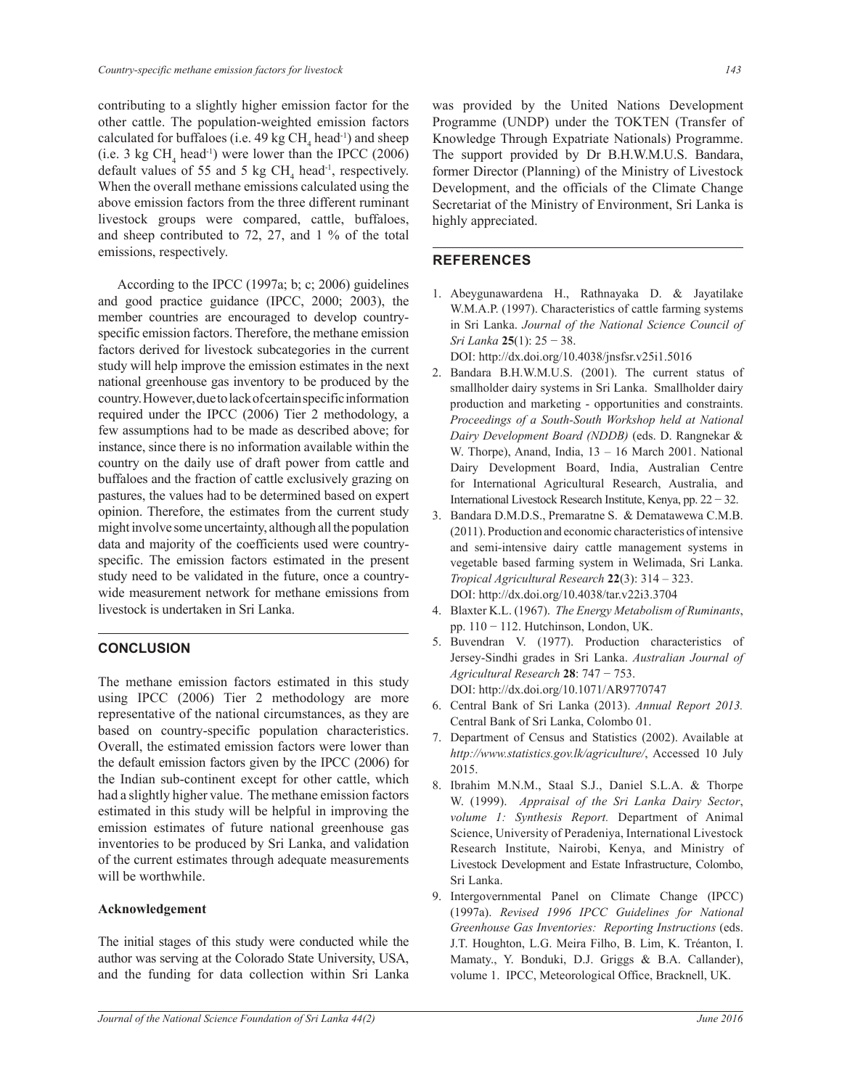contributing to a slightly higher emission factor for the other cattle. The population-weighted emission factors calculated for buffaloes (i.e.  $49 \text{ kg } CH_4 \text{ head}^{-1}$ ) and sheep (i.e. 3 kg  $CH<sub>4</sub>$  head<sup>-1</sup>) were lower than the IPCC (2006) default values of 55 and 5 kg  $CH<sub>4</sub>$  head<sup>-1</sup>, respectively. When the overall methane emissions calculated using the above emission factors from the three different ruminant livestock groups were compared, cattle, buffaloes, and sheep contributed to 72, 27, and 1 % of the total emissions, respectively.

 According to the IPCC (1997a; b; c; 2006) guidelines and good practice guidance (IPCC, 2000; 2003), the member countries are encouraged to develop countryspecific emission factors. Therefore, the methane emission factors derived for livestock subcategories in the current study will help improve the emission estimates in the next national greenhouse gas inventory to be produced by the country. However, due to lack of certain specific information required under the IPCC (2006) Tier 2 methodology, a few assumptions had to be made as described above; for instance, since there is no information available within the country on the daily use of draft power from cattle and buffaloes and the fraction of cattle exclusively grazing on pastures, the values had to be determined based on expert opinion. Therefore, the estimates from the current study might involve some uncertainty, although all the population data and majority of the coefficients used were countryspecific. The emission factors estimated in the present study need to be validated in the future, once a countrywide measurement network for methane emissions from livestock is undertaken in Sri Lanka.

## **CONCLUSION**

The methane emission factors estimated in this study using IPCC (2006) Tier 2 methodology are more representative of the national circumstances, as they are based on country-specific population characteristics. Overall, the estimated emission factors were lower than the default emission factors given by the IPCC (2006) for the Indian sub-continent except for other cattle, which had a slightly higher value. The methane emission factors estimated in this study will be helpful in improving the emission estimates of future national greenhouse gas inventories to be produced by Sri Lanka, and validation of the current estimates through adequate measurements will be worthwhile.

### **Acknowledgement**

The initial stages of this study were conducted while the author was serving at the Colorado State University, USA, and the funding for data collection within Sri Lanka was provided by the United Nations Development Programme (UNDP) under the TOKTEN (Transfer of Knowledge Through Expatriate Nationals) Programme. The support provided by Dr B.H.W.M.U.S. Bandara, former Director (Planning) of the Ministry of Livestock Development, and the officials of the Climate Change Secretariat of the Ministry of Environment, Sri Lanka is highly appreciated.

## **REFERENCES**

1. Abeygunawardena H., Rathnayaka D. & Jayatilake W.M.A.P. (1997). Characteristics of cattle farming systems in Sri Lanka. *Journal of the National Science Council of Sri Lanka* **25**(1): 25 − 38.

DOI: http://dx.doi.org/10.4038/jnsfsr.v25i1.5016

- 2. Bandara B.H.W.M.U.S. (2001). The current status of smallholder dairy systems in Sri Lanka. Smallholder dairy production and marketing - opportunities and constraints. *Proceedings of a South-South Workshop held at National Dairy Development Board (NDDB)* (eds. D. Rangnekar & W. Thorpe), Anand, India, 13 – 16 March 2001. National Dairy Development Board, India, Australian Centre for International Agricultural Research, Australia, and International Livestock Research Institute, Kenya, pp. 22 − 32.
- 3. Bandara D.M.D.S., Premaratne S. & Dematawewa C.M.B. (2011). Production and economic characteristics of intensive and semi-intensive dairy cattle management systems in vegetable based farming system in Welimada, Sri Lanka. *Tropical Agricultural Research* **22**(3): 314 – 323. DOI: http://dx.doi.org/10.4038/tar.v22i3.3704
- 4. Blaxter K.L. (1967). *The Energy Metabolism of Ruminants*, pp. 110 − 112. Hutchinson, London, UK.
- 5. Buvendran V. (1977). Production characteristics of Jersey-Sindhi grades in Sri Lanka. *Australian Journal of Agricultural Research* **28**: 747 − 753. DOI: http://dx.doi.org/10.1071/AR9770747
- 6. Central Bank of Sri Lanka (2013). *Annual Report 2013.* Central Bank of Sri Lanka, Colombo 01.
- 7. Department of Census and Statistics (2002). Available at *http://www.statistics.gov.lk/agriculture/*, Accessed 10 July 2015.
- 8. Ibrahim M.N.M., Staal S.J., Daniel S.L.A. & Thorpe W. (1999). *Appraisal of the Sri Lanka Dairy Sector*, *volume 1: Synthesis Report.* Department of Animal Science, University of Peradeniya, International Livestock Research Institute, Nairobi, Kenya, and Ministry of Livestock Development and Estate Infrastructure, Colombo, Sri Lanka.
- 9. Intergovernmental Panel on Climate Change (IPCC) (1997a). *Revised 1996 IPCC Guidelines for National Greenhouse Gas Inventories: Reporting Instructions* (eds. J.T. Houghton, L.G. Meira Filho, B. Lim, K. Tréanton, I. Mamaty., Y. Bonduki, D.J. Griggs & B.A. Callander), volume 1. IPCC, Meteorological Office, Bracknell, UK.